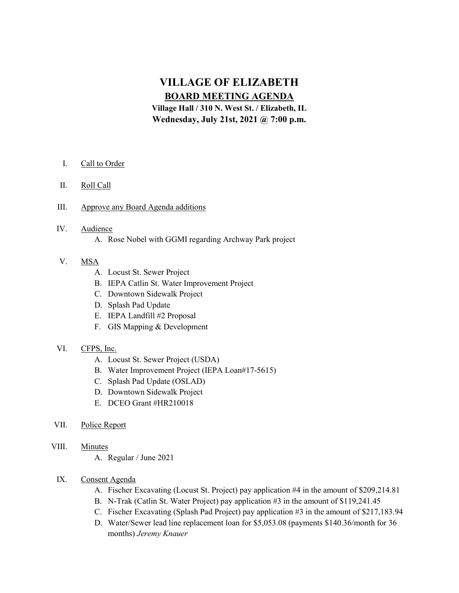# VILLAGE OF ELIZABETH BOARD MEETING AGENDA

Village Hall / 310 N. West St. / Elizabeth, IL Wednesday, July 21st, 2021 @ 7:00 p.m.

- I. Call to Order
- II. Roll Call
- III. Approve any Board Agenda additions

## IV. Audience

A. Rose Nobel with GGMI regarding Archway Park project

# V. MSA

- A. Locust St. Sewer Project
- B. IEPA Catlin St. Water Improvement Project
- C. Downtown Sidewalk Project
- D. Splash Pad Update
- E. IEPA Landfill #2 Proposal
- F. GIS Mapping & Development

#### VI. CFPS, Inc.

- A. Locust St. Sewer Project (USDA)
- B. Water Improvement Project (IEPA Loan#17-5615)
- C. Splash Pad Update (OSLAD)
- D. Downtown Sidewalk Project
- E. DCEO Grant #HR210018
- VII. Police Report

# VIII. Minutes

A. Regular / June 2021

### IX. Consent Agenda

- A. Fischer Excavating (Locust St. Project) pay application #4 in the amount of \$209,214.81
- B. N-Trak (Catlin St. Water Project) pay application #3 in the amount of \$119,241.45
- C. Fischer Excavating (Splash Pad Project) pay application #3 in the amount of \$217,183.94
- D. Water/Sewer lead line replacement loan for \$5,053.08 (payments \$140.36/month for 36 months) Jeremy Knauer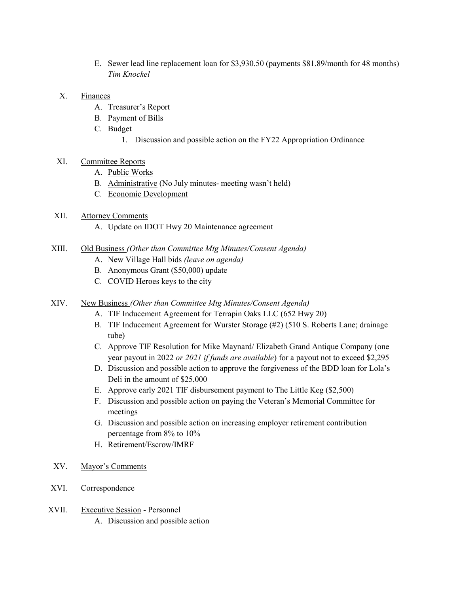- E. Sewer lead line replacement loan for \$3,930.50 (payments \$81.89/month for 48 months) Tim Knockel
- X. Finances
	- A. Treasurer's Report
	- B. Payment of Bills
	- C. Budget
		- 1. Discussion and possible action on the FY22 Appropriation Ordinance
- XI. Committee Reports
	- A. Public Works
	- B. Administrative (No July minutes- meeting wasn't held)
	- C. Economic Development
- XII. Attorney Comments
	- A. Update on IDOT Hwy 20 Maintenance agreement
- XIII. Old Business (Other than Committee Mtg Minutes/Consent Agenda)
	- A. New Village Hall bids (leave on agenda)
	- B. Anonymous Grant (\$50,000) update
	- C. COVID Heroes keys to the city
- XIV. New Business (Other than Committee Mtg Minutes/Consent Agenda)
	- A. TIF Inducement Agreement for Terrapin Oaks LLC (652 Hwy 20)
	- B. TIF Inducement Agreement for Wurster Storage (#2) (510 S. Roberts Lane; drainage tube)
	- C. Approve TIF Resolution for Mike Maynard/ Elizabeth Grand Antique Company (one year payout in 2022 or 2021 if funds are available) for a payout not to exceed \$2,295
	- D. Discussion and possible action to approve the forgiveness of the BDD loan for Lola's Deli in the amount of \$25,000
	- E. Approve early 2021 TIF disbursement payment to The Little Keg (\$2,500)
	- F. Discussion and possible action on paying the Veteran's Memorial Committee for meetings
	- G. Discussion and possible action on increasing employer retirement contribution percentage from 8% to 10%
	- H. Retirement/Escrow/IMRF
- XV. Mayor's Comments
- XVI. Correspondence
- XVII. Executive Session Personnel A. Discussion and possible action